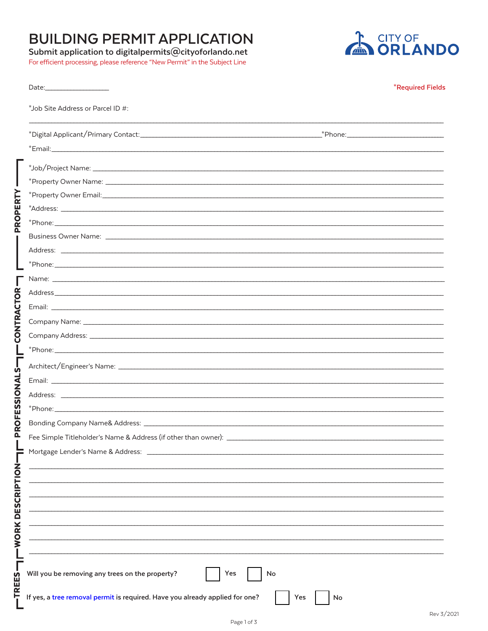## **BUILDING PERMIT APPLICATION**

## Submit application to digitalpermits@cityoforlando.net

For efficient processing, please reference "New Permit" in the Subject Line



|                      |                                                                                                                                                                                                                                | <b>*Required Fields</b> |
|----------------------|--------------------------------------------------------------------------------------------------------------------------------------------------------------------------------------------------------------------------------|-------------------------|
|                      | *Job Site Address or Parcel ID #:                                                                                                                                                                                              |                         |
|                      |                                                                                                                                                                                                                                |                         |
|                      |                                                                                                                                                                                                                                |                         |
|                      |                                                                                                                                                                                                                                |                         |
|                      |                                                                                                                                                                                                                                |                         |
| PERTY                | Address: Address: Address: Address: Address: Address: Address: Address: Address: Address: Address: Address: Address: Address: Address: Address: Address: Address: Address: Address: Address: Address: Address: Address: Addres |                         |
| <b>PROI</b>          |                                                                                                                                                                                                                                |                         |
|                      |                                                                                                                                                                                                                                |                         |
|                      |                                                                                                                                                                                                                                |                         |
|                      |                                                                                                                                                                                                                                |                         |
|                      |                                                                                                                                                                                                                                |                         |
|                      |                                                                                                                                                                                                                                |                         |
|                      |                                                                                                                                                                                                                                |                         |
| CONTRACTOR           |                                                                                                                                                                                                                                |                         |
|                      |                                                                                                                                                                                                                                |                         |
|                      |                                                                                                                                                                                                                                |                         |
| <u>ໄ</u><br>ທຸ       |                                                                                                                                                                                                                                |                         |
|                      |                                                                                                                                                                                                                                |                         |
| SIONAL               |                                                                                                                                                                                                                                |                         |
| ΞŚ                   |                                                                                                                                                                                                                                |                         |
| щ                    |                                                                                                                                                                                                                                |                         |
| $\overline{Q}$<br>Δ. | Fee Simple Titleholder's Name & Address (if other than owner): _                                                                                                                                                               |                         |
|                      |                                                                                                                                                                                                                                |                         |
|                      |                                                                                                                                                                                                                                |                         |
| WORK DESCRIPTION-    |                                                                                                                                                                                                                                |                         |
|                      |                                                                                                                                                                                                                                |                         |
|                      |                                                                                                                                                                                                                                |                         |
|                      |                                                                                                                                                                                                                                |                         |
|                      |                                                                                                                                                                                                                                |                         |
|                      |                                                                                                                                                                                                                                |                         |
|                      |                                                                                                                                                                                                                                |                         |
| TREES                | Will you be removing any trees on the property?<br>Yes<br>No                                                                                                                                                                   |                         |
|                      | If yes, a tree removal permit is required. Have you already applied for one?<br>Yes<br>No                                                                                                                                      |                         |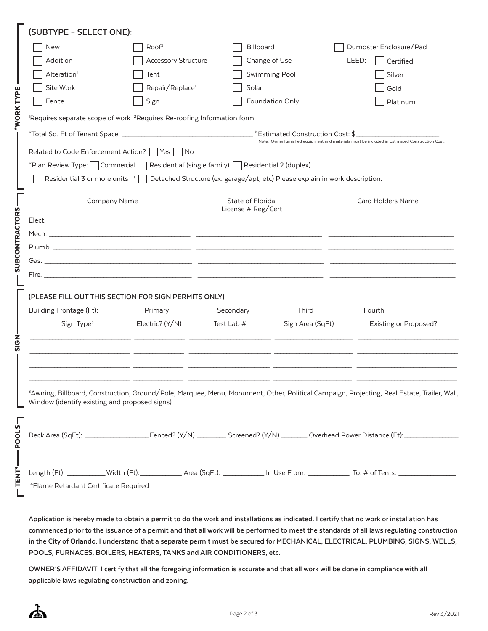|                                                                                                                                                              | (SUBTYPE - SELECT ONE):                                                                                               |                                                                                                                                                                                                                                |                    |                  |                                                                                                                                                        |  |  |  |
|--------------------------------------------------------------------------------------------------------------------------------------------------------------|-----------------------------------------------------------------------------------------------------------------------|--------------------------------------------------------------------------------------------------------------------------------------------------------------------------------------------------------------------------------|--------------------|------------------|--------------------------------------------------------------------------------------------------------------------------------------------------------|--|--|--|
|                                                                                                                                                              | New                                                                                                                   | Root <sup>2</sup>                                                                                                                                                                                                              | Billboard          |                  | Dumpster Enclosure/Pad                                                                                                                                 |  |  |  |
|                                                                                                                                                              | Addition                                                                                                              | <b>Accessory Structure</b>                                                                                                                                                                                                     |                    | Change of Use    | LEED:<br>Certified                                                                                                                                     |  |  |  |
|                                                                                                                                                              | Alteration <sup>1</sup>                                                                                               | Tent                                                                                                                                                                                                                           |                    | Swimming Pool    | Silver                                                                                                                                                 |  |  |  |
|                                                                                                                                                              | Site Work                                                                                                             | Repair/Replace <sup>1</sup>                                                                                                                                                                                                    | Solar              |                  | Gold                                                                                                                                                   |  |  |  |
|                                                                                                                                                              | Fence                                                                                                                 | Sign                                                                                                                                                                                                                           |                    | Foundation Only  | Platinum                                                                                                                                               |  |  |  |
| <b>WORK TYPE</b>                                                                                                                                             | <sup>1</sup> Requires separate scope of work <sup>2</sup> Requires Re-roofing Information form                        |                                                                                                                                                                                                                                |                    |                  |                                                                                                                                                        |  |  |  |
|                                                                                                                                                              |                                                                                                                       |                                                                                                                                                                                                                                |                    |                  |                                                                                                                                                        |  |  |  |
|                                                                                                                                                              |                                                                                                                       | Note: Owner furnished equipment and materials must be included in Estimated Construction Cost.<br>Related to Code Enforcement Action?   Yes   No                                                                               |                    |                  |                                                                                                                                                        |  |  |  |
|                                                                                                                                                              |                                                                                                                       | *Plan Review Type: $\Box$ Commercial $\Box$ Residential' (single family) $\Box$ Residential 2 (duplex)                                                                                                                         |                    |                  |                                                                                                                                                        |  |  |  |
|                                                                                                                                                              | Residential 3 or more units <sup>a</sup> Detached Structure (ex: garage/apt, etc) Please explain in work description. |                                                                                                                                                                                                                                |                    |                  |                                                                                                                                                        |  |  |  |
|                                                                                                                                                              |                                                                                                                       |                                                                                                                                                                                                                                | State of Florida   |                  | <b>Card Holders Name</b>                                                                                                                               |  |  |  |
|                                                                                                                                                              | Company Name                                                                                                          |                                                                                                                                                                                                                                | License # Reg/Cert |                  |                                                                                                                                                        |  |  |  |
| <b>SUBCONTRACTORS</b>                                                                                                                                        |                                                                                                                       |                                                                                                                                                                                                                                |                    |                  |                                                                                                                                                        |  |  |  |
|                                                                                                                                                              |                                                                                                                       |                                                                                                                                                                                                                                |                    |                  |                                                                                                                                                        |  |  |  |
|                                                                                                                                                              |                                                                                                                       | Plumb. The contract of the contract of the contract of the contract of the contract of the contract of the contract of the contract of the contract of the contract of the contract of the contract of the contract of the con |                    |                  |                                                                                                                                                        |  |  |  |
|                                                                                                                                                              |                                                                                                                       |                                                                                                                                                                                                                                |                    |                  |                                                                                                                                                        |  |  |  |
|                                                                                                                                                              |                                                                                                                       |                                                                                                                                                                                                                                |                    |                  |                                                                                                                                                        |  |  |  |
|                                                                                                                                                              | (PLEASE FILL OUT THIS SECTION FOR SIGN PERMITS ONLY)                                                                  |                                                                                                                                                                                                                                |                    |                  |                                                                                                                                                        |  |  |  |
|                                                                                                                                                              |                                                                                                                       |                                                                                                                                                                                                                                |                    |                  |                                                                                                                                                        |  |  |  |
|                                                                                                                                                              | Sign Type <sup>3</sup>                                                                                                | Electric? $(Y/N)$ Test Lab #                                                                                                                                                                                                   |                    | Sign Area (SqFt) | <b>Existing or Proposed?</b>                                                                                                                           |  |  |  |
|                                                                                                                                                              |                                                                                                                       |                                                                                                                                                                                                                                |                    |                  |                                                                                                                                                        |  |  |  |
| このあ                                                                                                                                                          |                                                                                                                       |                                                                                                                                                                                                                                |                    |                  |                                                                                                                                                        |  |  |  |
|                                                                                                                                                              |                                                                                                                       |                                                                                                                                                                                                                                |                    |                  |                                                                                                                                                        |  |  |  |
|                                                                                                                                                              |                                                                                                                       |                                                                                                                                                                                                                                |                    |                  |                                                                                                                                                        |  |  |  |
|                                                                                                                                                              |                                                                                                                       |                                                                                                                                                                                                                                |                    |                  | <sup>3</sup> Awning, Billboard, Construction, Ground/Pole, Marquee, Menu, Monument, Other, Political Campaign, Projecting, Real Estate, Trailer, Wall, |  |  |  |
|                                                                                                                                                              | Window (identify existing and proposed signs)                                                                         |                                                                                                                                                                                                                                |                    |                  |                                                                                                                                                        |  |  |  |
|                                                                                                                                                              |                                                                                                                       |                                                                                                                                                                                                                                |                    |                  |                                                                                                                                                        |  |  |  |
| <b>POOLS-</b><br>Deck Area (SqFt): _______________________Fenced? (Y/N) ___________ Screened? (Y/N) ________ Overhead Power Distance (Ft): _________________ |                                                                                                                       |                                                                                                                                                                                                                                |                    |                  |                                                                                                                                                        |  |  |  |
|                                                                                                                                                              |                                                                                                                       |                                                                                                                                                                                                                                |                    |                  |                                                                                                                                                        |  |  |  |
|                                                                                                                                                              |                                                                                                                       |                                                                                                                                                                                                                                |                    |                  |                                                                                                                                                        |  |  |  |
| <b>TENT</b>                                                                                                                                                  |                                                                                                                       |                                                                                                                                                                                                                                |                    |                  |                                                                                                                                                        |  |  |  |
|                                                                                                                                                              | <sup>4</sup> Flame Retardant Certificate Required                                                                     |                                                                                                                                                                                                                                |                    |                  |                                                                                                                                                        |  |  |  |

**Application is hereby made to obtain a permit to do the work and installations as indicated. I certify that no work or installation has commenced prior to the issuance of a permit and that all work will be performed to meet the standards of all laws regulating construction in the City of Orlando. I understand that a separate permit must be secured for MECHANICAL, ELECTRICAL, PLUMBING, SIGNS, WELLS, POOLS, FURNACES, BOILERS, HEATERS, TANKS and AIR CONDITIONERS, etc.** 

**OWNER'S AFFIDAVIT: I certify that all the foregoing information is accurate and that all work will be done in compliance with all applicable laws regulating construction and zoning.**